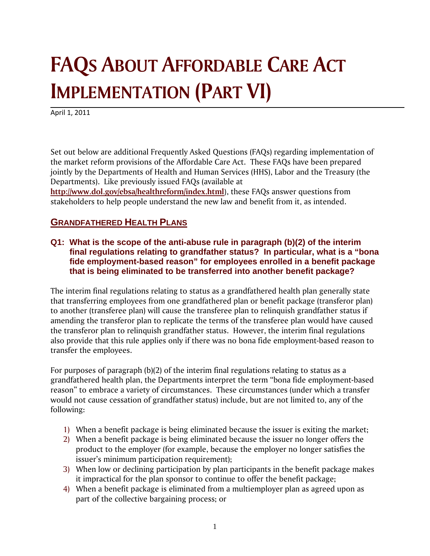## **FAQS ABOUT AFFORDABLE CARE ACT IMPLEMENTATION (PART VI)**

April 1, 2011

Set out below are additional Frequently Asked Questions (FAQs) regarding implementation of the market reform provisions of the Affordable Care Act. These FAQs have been prepared jointly by the Departments of Health and Human Services (HHS), Labor and the Treasury (the Departments). Like previously issued FAQs (available at

**http://www.dol.gov/ebsa/healthreform/index.html**), these FAQs answer questions from stakeholders to help people understand the new law and benefit from it, as intended.

## **GRANDFATHERED HEALTH PLANS**

**Q1: What is the scope of the anti-abuse rule in paragraph (b)(2) of the interim final regulations relating to grandfather status? In particular, what is a "bona fide employment-based reason" for employees enrolled in a benefit package that is being eliminated to be transferred into another benefit package?** 

The interim final regulations relating to status as a grandfathered health plan generally state that transferring employees from one grandfathered plan or benefit package (transferor plan) to another (transferee plan) will cause the transferee plan to relinquish grandfather status if amending the transferor plan to replicate the terms of the transferee plan would have caused the transferor plan to relinquish grandfather status. However, the interim final regulations also provide that this rule applies only if there was no bona fide employment-based reason to transfer the employees.

For purposes of paragraph (b)(2) of the interim final regulations relating to status as a grandfathered health plan, the Departments interpret the term "bona fide employment-based reason" to embrace a variety of circumstances. These circumstances (under which a transfer would not cause cessation of grandfather status) include, but are not limited to, any of the following:

- 1) When a benefit package is being eliminated because the issuer is exiting the market;
- 2) When a benefit package is being eliminated because the issuer no longer offers the product to the employer (for example, because the employer no longer satisfies the issuer's minimum participation requirement);
- 3) When low or declining participation by plan participants in the benefit package makes it impractical for the plan sponsor to continue to offer the benefit package;
- 4) When a benefit package is eliminated from a multiemployer plan as agreed upon as part of the collective bargaining process; or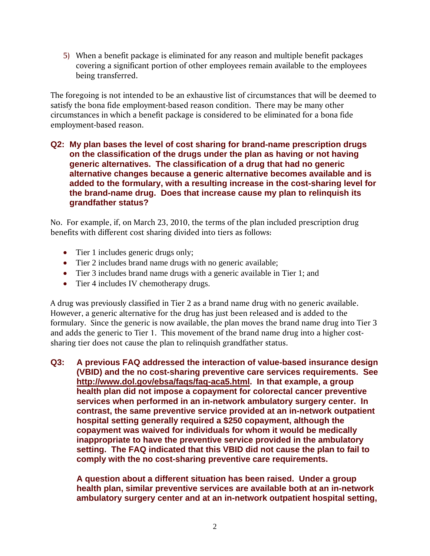5) When a benefit package is eliminated for any reason and multiple benefit packages covering a significant portion of other employees remain available to the employees being transferred.

The foregoing is not intended to be an exhaustive list of circumstances that will be deemed to satisfy the bona fide employment-based reason condition. There may be many other circumstances in which a benefit package is considered to be eliminated for a bona fide employment-based reason.

**Q2: My plan bases the level of cost sharing for brand-name prescription drugs on the classification of the drugs under the plan as having or not having generic alternatives. The classification of a drug that had no generic alternative changes because a generic alternative becomes available and is added to the formulary, with a resulting increase in the cost-sharing level for the brand-name drug. Does that increase cause my plan to relinquish its grandfather status?** 

No. For example, if, on March 23, 2010, the terms of the plan included prescription drug benefits with different cost sharing divided into tiers as follows:

- Tier 1 includes generic drugs only;
- Tier 2 includes brand name drugs with no generic available;
- Tier 3 includes brand name drugs with a generic available in Tier 1; and
- Tier 4 includes IV chemotherapy drugs.

A drug was previously classified in Tier 2 as a brand name drug with no generic available. However, a generic alternative for the drug has just been released and is added to the formulary. Since the generic is now available, the plan moves the brand name drug into Tier 3 and adds the generic to Tier 1. This movement of the brand name drug into a higher costsharing tier does not cause the plan to relinquish grandfather status.

**Q3: A previous FAQ addressed the interaction of value-based insurance design (VBID) and the no cost-sharing preventive care services requirements. See http://www.dol.gov/ebsa/faqs/faq-aca5.html. In that example, a group health plan did not impose a copayment for colorectal cancer preventive services when performed in an in-network ambulatory surgery center. In contrast, the same preventive service provided at an in-network outpatient hospital setting generally required a \$250 copayment, although the copayment was waived for individuals for whom it would be medically inappropriate to have the preventive service provided in the ambulatory setting. The FAQ indicated that this VBID did not cause the plan to fail to comply with the no cost-sharing preventive care requirements.** 

**A question about a different situation has been raised. Under a group health plan, similar preventive services are available both at an in-network ambulatory surgery center and at an in-network outpatient hospital setting,**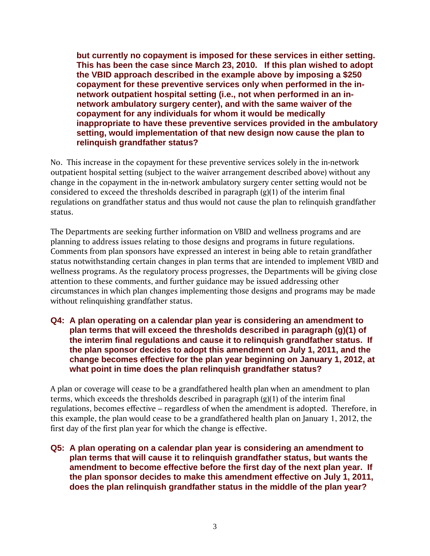**but currently no copayment is imposed for these services in either setting. This has been the case since March 23, 2010. If this plan wished to adopt the VBID approach described in the example above by imposing a \$250 copayment for these preventive services only when performed in the innetwork outpatient hospital setting (i.e., not when performed in an innetwork ambulatory surgery center), and with the same waiver of the copayment for any individuals for whom it would be medically inappropriate to have these preventive services provided in the ambulatory setting, would implementation of that new design now cause the plan to relinquish grandfather status?** 

No. This increase in the copayment for these preventive services solely in the in-network outpatient hospital setting (subject to the waiver arrangement described above) without any change in the copayment in the in-network ambulatory surgery center setting would not be considered to exceed the thresholds described in paragraph (g)(1) of the interim final regulations on grandfather status and thus would not cause the plan to relinquish grandfather status.

The Departments are seeking further information on VBID and wellness programs and are planning to address issues relating to those designs and programs in future regulations. Comments from plan sponsors have expressed an interest in being able to retain grandfather status notwithstanding certain changes in plan terms that are intended to implement VBID and wellness programs. As the regulatory process progresses, the Departments will be giving close attention to these comments, and further guidance may be issued addressing other circumstances in which plan changes implementing those designs and programs may be made without relinquishing grandfather status.

**Q4: A plan operating on a calendar plan year is considering an amendment to plan terms that will exceed the thresholds described in paragraph (g)(1) of the interim final regulations and cause it to relinquish grandfather status. If the plan sponsor decides to adopt this amendment on July 1, 2011, and the change becomes effective for the plan year beginning on January 1, 2012, at what point in time does the plan relinquish grandfather status?** 

A plan or coverage will cease to be a grandfathered health plan when an amendment to plan terms, which exceeds the thresholds described in paragraph (g)(1) of the interim final regulations, becomes effective – regardless of when the amendment is adopted. Therefore, in this example, the plan would cease to be a grandfathered health plan on January 1, 2012, the first day of the first plan year for which the change is effective.

**Q5: A plan operating on a calendar plan year is considering an amendment to plan terms that will cause it to relinquish grandfather status, but wants the amendment to become effective before the first day of the next plan year. If the plan sponsor decides to make this amendment effective on July 1, 2011, does the plan relinquish grandfather status in the middle of the plan year?**